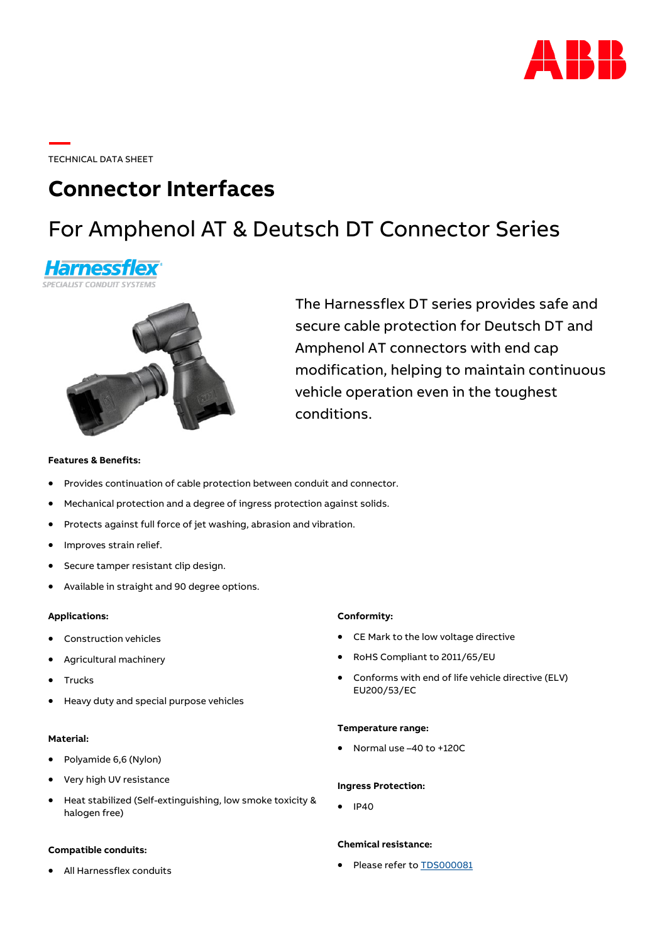

TECHNICAL DATA SHEET

# **Connector Interfaces**

# For Amphenol AT & Deutsch DT Connector Series





The Harnessflex DT series provides safe and secure cable protection for Deutsch DT and Amphenol AT connectors with end cap modification, helping to maintain continuous vehicle operation even in the toughest conditions.

## **Features & Benefits:**

- Provides continuation of cable protection between conduit and connector.
- Mechanical protection and a degree of ingress protection against solids.
- Protects against full force of jet washing, abrasion and vibration.
- Improves strain relief.
- Secure tamper resistant clip design.
- Available in straight and 90 degree options.

#### **Applications:**

- Construction vehicles
- Agricultural machinery
- **Trucks**
- Heavy duty and special purpose vehicles

### **Material:**

- Polyamide 6,6 (Nylon)
- Very high UV resistance
- Heat stabilized (Self-extinguishing, low smoke toxicity & halogen free)

#### **Compatible conduits:**

• All Harnessflex conduits

#### **Conformity:**

- CE Mark to the low voltage directive
- RoHS Compliant to 2011/65/EU
- Conforms with end of life vehicle directive (ELV) EU200/53/EC

### **Temperature range:**

• Normal use –40 to +120C

#### **Ingress Protection:**

• IP40

### **Chemical resistance:**

• Please refer to [TDS000081](https://search.abb.com/library/Download.aspx?DocumentID=TDS000081&LanguageCode=en&DocumentPartId=&Action=Launch)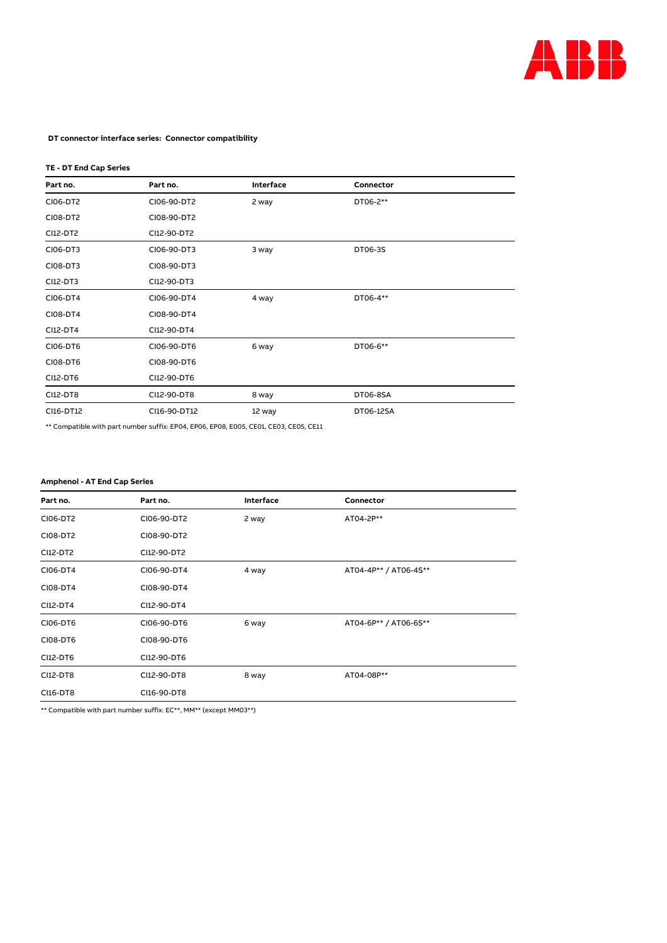

### **DT connector interface series: Connector compatibility**

# **TE - DT End Cap Series**

| Part no.  | Part no.     | Interface | Connector |
|-----------|--------------|-----------|-----------|
| CI06-DT2  | CI06-90-DT2  | 2 way     | DT06-2**  |
| CI08-DT2  | CI08-90-DT2  |           |           |
| CI12-DT2  | CI12-90-DT2  |           |           |
| CI06-DT3  | CI06-90-DT3  | 3 way     | DT06-3S   |
| CI08-DT3  | CI08-90-DT3  |           |           |
| CI12-DT3  | CI12-90-DT3  |           |           |
| CI06-DT4  | CI06-90-DT4  | 4 way     | DT06-4**  |
| CI08-DT4  | CI08-90-DT4  |           |           |
| CI12-DT4  | CI12-90-DT4  |           |           |
| CI06-DT6  | CI06-90-DT6  | 6 way     | DT06-6**  |
| CI08-DT6  | CI08-90-DT6  |           |           |
| CI12-DT6  | CI12-90-DT6  |           |           |
| CI12-DT8  | CI12-90-DT8  | 8 way     | DT06-8SA  |
| CI16-DT12 | CI16-90-DT12 | 12 way    | DT06-12SA |

\*\* Compatible with part number suffix: EP04, EP06, EP08, E005, CE01, CE03, CE05, CE11

## **Amphenol - AT End Cap Series**

| Part no. | Part no.    | Interface | Connector             |
|----------|-------------|-----------|-----------------------|
| CI06-DT2 | CI06-90-DT2 | 2 way     | AT04-2P**             |
| CI08-DT2 | CI08-90-DT2 |           |                       |
| CI12-DT2 | CI12-90-DT2 |           |                       |
| CI06-DT4 | CI06-90-DT4 | 4 way     | AT04-4P** / AT06-4S** |
| CI08-DT4 | CI08-90-DT4 |           |                       |
| CI12-DT4 | CI12-90-DT4 |           |                       |
| CI06-DT6 | CI06-90-DT6 | 6 way     | AT04-6P** / AT06-6S** |
| CI08-DT6 | CI08-90-DT6 |           |                       |
| CI12-DT6 | CI12-90-DT6 |           |                       |
| CI12-DT8 | CI12-90-DT8 | 8 way     | AT04-08P**            |
| CI16-DT8 | CI16-90-DT8 |           |                       |

\*\* Compatible with part number suffix: EC\*\*, MM\*\* (except MM03\*\*)